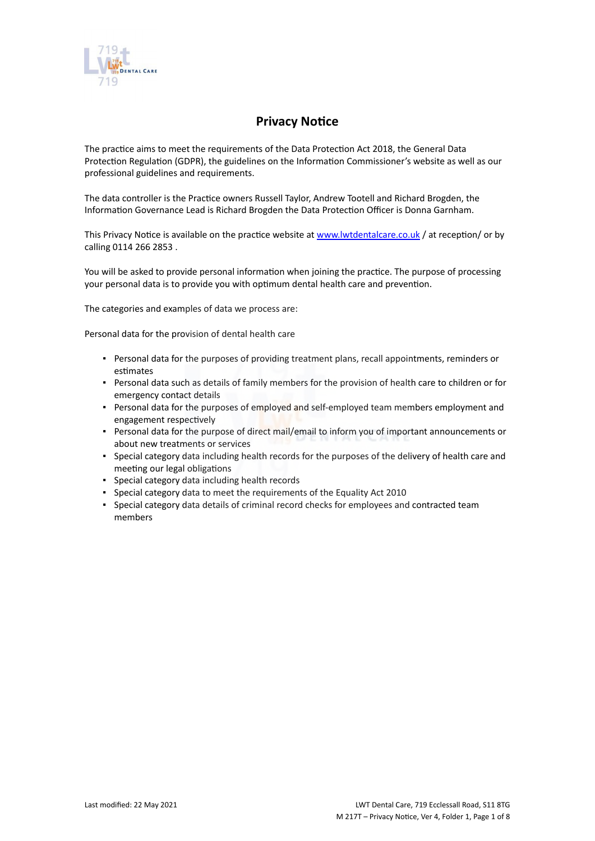

# **Privacy Notice**

The practice aims to meet the requirements of the Data Protection Act 2018, the General Data Protection Regulation (GDPR), the guidelines on the Information Commissioner's website as well as our professional guidelines and requirements.

The data controller is the Practice owners Russell Taylor, Andrew Tootell and Richard Brogden, the Information Governance Lead is Richard Brogden the Data Protection Officer is Donna Garnham.

This Privacy Notice is available on the practice website at [www.lwtdentalcare.co.uk](https://icomply.agiliosoftware.com/api/export/render/bc15a0a1-00c0-44ab-a41a-82b1cae66606/www.practice.com/privacynotice) / at reception/ or by calling 0114 266 2853 .

You will be asked to provide personal information when joining the practice. The purpose of processing your personal data is to provide you with optimum dental health care and prevention.

The categories and examples of data we process are:

Personal data for the provision of dental health care

- Personal data for the purposes of providing treatment plans, recall appointments, reminders or estimates
- Personal data such as details of family members for the provision of health care to children or for emergency contact details
- Personal data for the purposes of employed and self-employed team members employment and engagement respectively
- Personal data for the purpose of direct mail/email to inform you of important announcements or about new treatments or services
- Special category data including health records for the purposes of the delivery of health care and meeting our legal obligations
- Special category data including health records
- Special category data to meet the requirements of the Equality Act 2010
- Special category data details of criminal record checks for employees and contracted team members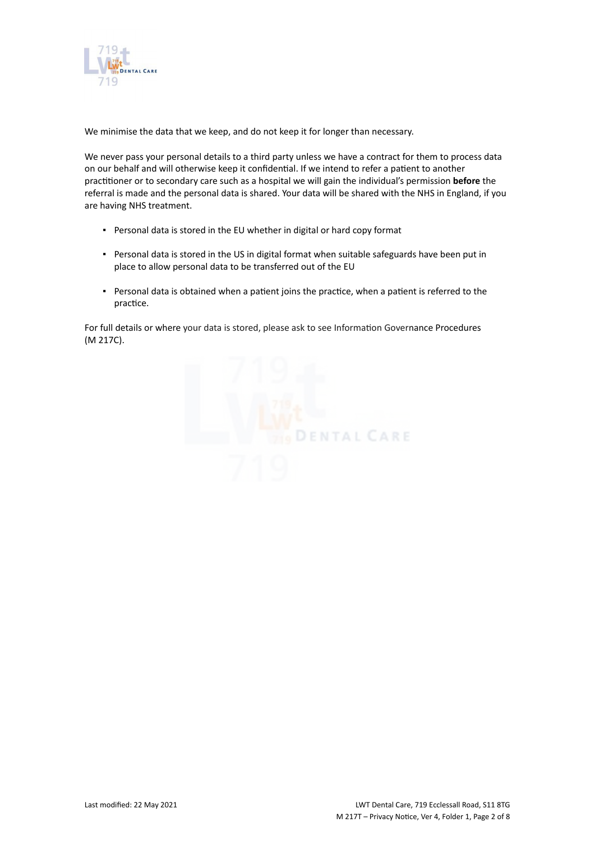

We minimise the data that we keep, and do not keep it for longer than necessary.

We never pass your personal details to a third party unless we have a contract for them to process data on our behalf and will otherwise keep it confidential. If we intend to refer a patient to another practitioner or to secondary care such as a hospital we will gain the individual's permission **before** the referral is made and the personal data is shared. Your data will be shared with the NHS in England, if you are having NHS treatment.

- Personal data is stored in the EU whether in digital or hard copy format
- Personal data is stored in the US in digital format when suitable safeguards have been put in place to allow personal data to be transferred out of the EU
- Personal data is obtained when a patient joins the practice, when a patient is referred to the practice.

For full details or where your data is stored, please ask to see Information Governance Procedures (M 217C).

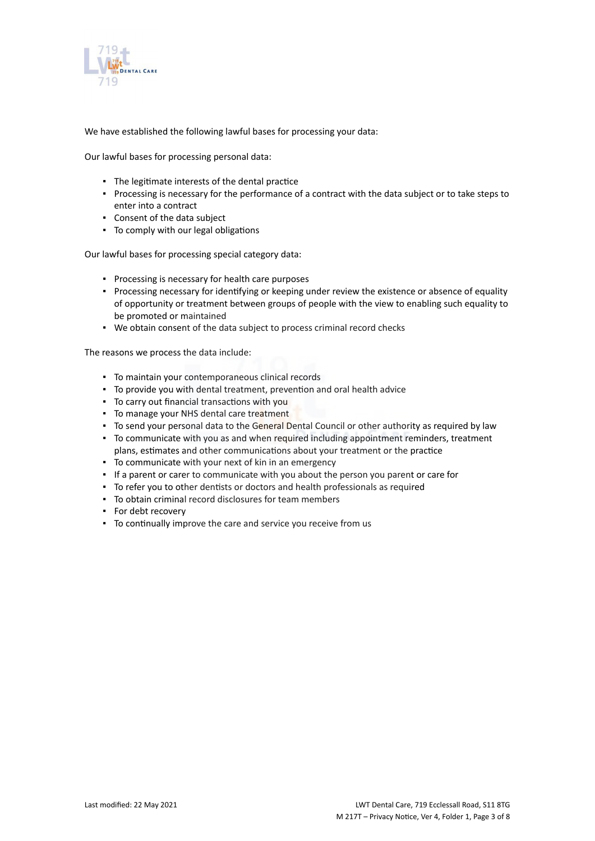

We have established the following lawful bases for processing your data:

Our lawful bases for processing personal data:

- The legitimate interests of the dental practice
- Processing is necessary for the performance of a contract with the data subject or to take steps to enter into a contract
- Consent of the data subject
- To comply with our legal obligations

Our lawful bases for processing special category data:

- Processing is necessary for health care purposes
- Processing necessary for identifying or keeping under review the existence or absence of equality of opportunity or treatment between groups of people with the view to enabling such equality to be promoted or maintained
- We obtain consent of the data subject to process criminal record checks

The reasons we process the data include:

- To maintain your contemporaneous clinical records
- To provide you with dental treatment, prevention and oral health advice
- To carry out financial transactions with you
- **To manage your NHS dental care treatment**
- To send your personal data to the General Dental Council or other authority as required by law
- To communicate with you as and when required including appointment reminders, treatment plans, estimates and other communications about your treatment or the practice
- To communicate with your next of kin in an emergency
- **.** If a parent or carer to communicate with you about the person you parent or care for
- To refer you to other dentists or doctors and health professionals as required
- To obtain criminal record disclosures for team members
- For debt recovery
- To continually improve the care and service you receive from us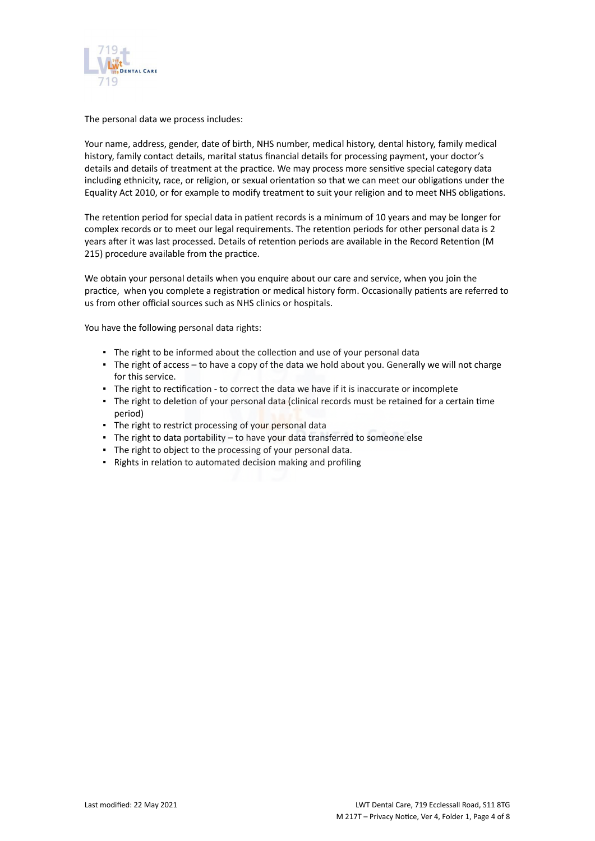

The personal data we process includes:

Your name, address, gender, date of birth, NHS number, medical history, dental history, family medical history, family contact details, marital status financial details for processing payment, your doctor's details and details of treatment at the practice. We may process more sensitive special category data including ethnicity, race, or religion, or sexual orientation so that we can meet our obligations under the Equality Act 2010, or for example to modify treatment to suit your religion and to meet NHS obligations.

The retention period for special data in patient records is a minimum of 10 years and may be longer for complex records or to meet our legal requirements. The retention periods for other personal data is 2 years after it was last processed. Details of retention periods are available in the Record Retention (M 215) procedure available from the practice.

We obtain your personal details when you enquire about our care and service, when you join the practice, when you complete a registration or medical history form. Occasionally patients are referred to us from other official sources such as NHS clinics or hospitals.

You have the following personal data rights:

- **.** The right to be informed about the collection and use of your personal data
- The right of access to have a copy of the data we hold about you. Generally we will not charge for this service.
- The right to rectification to correct the data we have if it is inaccurate or incomplete
- The right to deletion of your personal data (clinical records must be retained for a certain time period)
- **The right to restrict processing of your personal data**
- The right to data portability to have your data transferred to someone else
- The right to object to the processing of your personal data.
- Rights in relation to automated decision making and profiling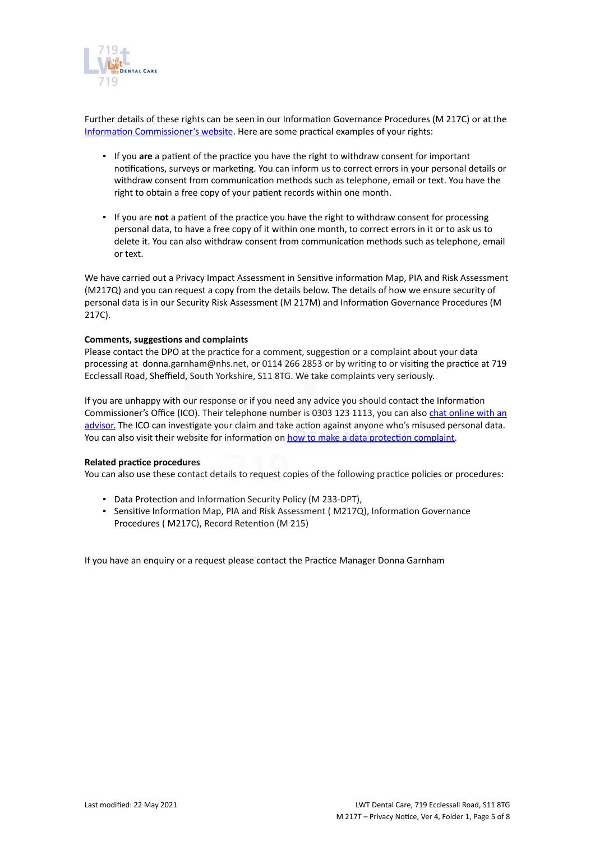

Further details of these rights can be seen in our Information Governance Procedures (M 217C) or at the [Information Commissioner's website](https://ico.org.uk/for-organisations/guide-to-the-general-data-protection-regulation-gdpr/individual-rights/). Here are some practical examples of your rights:

- If you **are** a patient of the practice you have the right to withdraw consent for important notifications, surveys or marketing. You can inform us to correct errors in your personal details or withdraw consent from communication methods such as telephone, email or text. You have the right to obtain a free copy of your patient records within one month.
- If you are **not** a patient of the practice you have the right to withdraw consent for processing personal data, to have a free copy of it within one month, to correct errors in it or to ask us to delete it. You can also withdraw consent from communication methods such as telephone, email or text.

We have carried out a Privacy Impact Assessment in Sensitive information Map, PIA and Risk Assessment (M217Q) and you can request a copy from the details below. The details of how we ensure security of personal data is in our Security Risk Assessment (M 217M) and Information Governance Procedures (M 217C).

#### **Comments, suggestions and complaints**

Please contact the DPO at the practice for a comment, suggestion or a complaint about your data processing at donna.garnham@nhs.net, or 0114 266 2853 or by writing to or visiting the practice at 719 Ecclessall Road, Sheffield, South Yorkshire, S11 8TG. We take complaints very seriously.

If you are unhappy with our response or if you need any advice you should contact the Information Commissioner's Office (ICO). Their telephone number is 0303 123 1113, you can also [chat online with an](https://ico.org.uk/global/contact-us/live-chat/) [advisor.](https://ico.org.uk/global/contact-us/live-chat/) The ICO can investigate your claim and take action against anyone who's misused personal data. You can also visit their website for information on [how to make a data protection complaint](http://www.ico.org.uk/complaints).

#### **Related practice procedures**

You can also use these contact details to request copies of the following practice policies or procedures:

- Data Protection and Information Security Policy (M 233-DPT),
- Sensitive Information Map, PIA and Risk Assessment ( M217Q), Information Governance Procedures ( M217C), Record Retention (M 215)

If you have an enquiry or a request please contact the Practice Manager Donna Garnham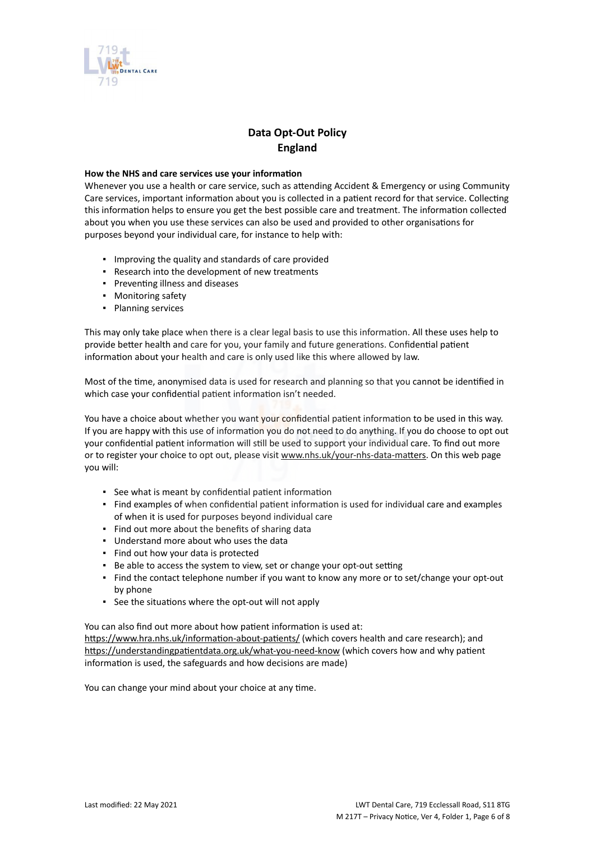

## **Data Opt-Out Policy England**

#### **How the NHS and care services use your information**

Whenever you use a health or care service, such as attending Accident & Emergency or using Community Care services, important information about you is collected in a patient record for that service. Collecting this information helps to ensure you get the best possible care and treatment. The information collected about you when you use these services can also be used and provided to other organisations for purposes beyond your individual care, for instance to help with:

- Improving the quality and standards of care provided
- Research into the development of new treatments
- Preventing illness and diseases
- Monitoring safety
- Planning services

This may only take place when there is a clear legal basis to use this information. All these uses help to provide better health and care for you, your family and future generations. Confidential patient information about your health and care is only used like this where allowed by law.

Most of the time, anonymised data is used for research and planning so that you cannot be identified in which case your confidential patient information isn't needed.

You have a choice about whether you want your confidential patient information to be used in this way. If you are happy with this use of information you do not need to do anything. If you do choose to opt out your confidential patient information will still be used to support your individual care. To find out more or to register your choice to opt out, please visit [www.nhs.uk/your-nhs-data-matters](http://www.nhs.uk/your-nhs-data-matters). On this web page you will:

- See what is meant by confidential patient information
- Find examples of when confidential patient information is used for individual care and examples of when it is used for purposes beyond individual care
- Find out more about the benefits of sharing data
- Understand more about who uses the data
- Find out how your data is protected
- Be able to access the system to view, set or change your opt-out setting
- Find the contact telephone number if you want to know any more or to set/change your opt-out by phone
- See the situations where the opt-out will not apply

You can also find out more about how patient information is used at: [https://www.hra.nhs.uk/information-about-patients/](https://www.hra.nhs.uk/information-about-patients/%20) (which covers health and care research); and <https://understandingpatientdata.org.uk/what-you-need-know> (which covers how and why patient information is used, the safeguards and how decisions are made)

You can change your mind about your choice at any time.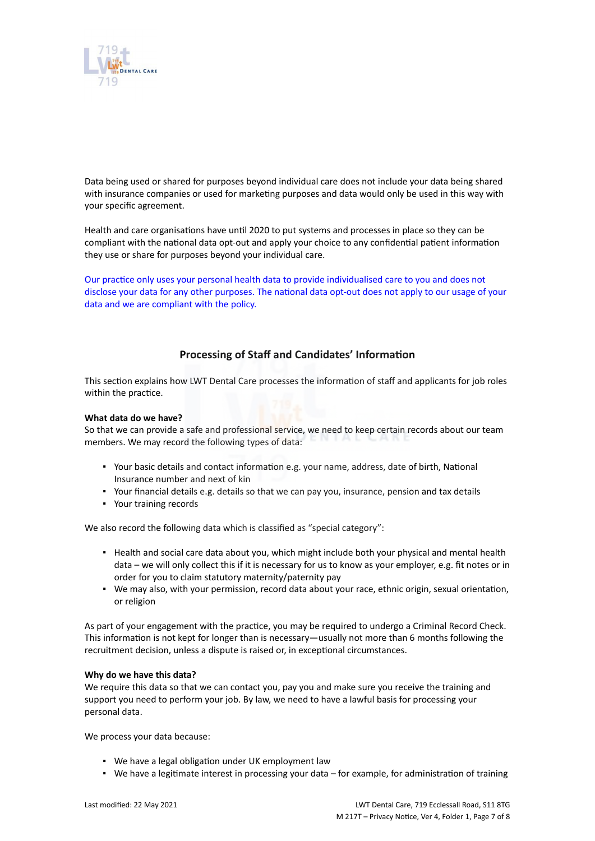

Data being used or shared for purposes beyond individual care does not include your data being shared with insurance companies or used for marketing purposes and data would only be used in this way with your specific agreement.

Health and care organisations have until 2020 to put systems and processes in place so they can be compliant with the national data opt-out and apply your choice to any confidential patient information they use or share for purposes beyond your individual care.

Our practice only uses your personal health data to provide individualised care to you and does not disclose your data for any other purposes. The national data opt-out does not apply to our usage of your data and we are compliant with the policy.

### **Processing of Staff and Candidates' Information**

This section explains how LWT Dental Care processes the information of staff and applicants for job roles within the practice.

#### **What data do we have?**

So that we can provide a safe and professional service, we need to keep certain records about our team members. We may record the following types of data:

- Your basic details and contact information e.g. your name, address, date of birth, National Insurance number and next of kin
- Your financial details e.g. details so that we can pay you, insurance, pension and tax details
- Your training records

We also record the following data which is classified as "special category":

- Health and social care data about you, which might include both your physical and mental health data – we will only collect this if it is necessary for us to know as your employer, e.g. fit notes or in order for you to claim statutory maternity/paternity pay
- We may also, with your permission, record data about your race, ethnic origin, sexual orientation, or religion

As part of your engagement with the practice, you may be required to undergo a Criminal Record Check. This information is not kept for longer than is necessary—usually not more than 6 months following the recruitment decision, unless a dispute is raised or, in exceptional circumstances.

#### **Why do we have this data?**

We require this data so that we can contact you, pay you and make sure you receive the training and support you need to perform your job. By law, we need to have a lawful basis for processing your personal data.

We process your data because:

- We have a legal obligation under UK employment law
- We have a legitimate interest in processing your data for example, for administration of training